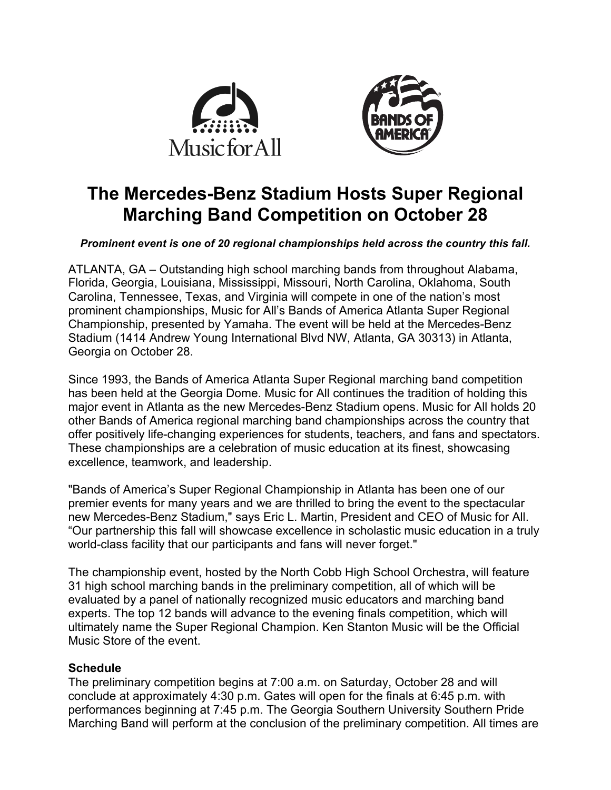



# **The Mercedes-Benz Stadium Hosts Super Regional Marching Band Competition on October 28**

### *Prominent event is one of 20 regional championships held across the country this fall.*

ATLANTA, GA – Outstanding high school marching bands from throughout Alabama, Florida, Georgia, Louisiana, Mississippi, Missouri, North Carolina, Oklahoma, South Carolina, Tennessee, Texas, and Virginia will compete in one of the nation's most prominent championships, Music for All's Bands of America Atlanta Super Regional Championship, presented by Yamaha. The event will be held at the Mercedes-Benz Stadium (1414 Andrew Young International Blvd NW, Atlanta, GA 30313) in Atlanta, Georgia on October 28.

Since 1993, the Bands of America Atlanta Super Regional marching band competition has been held at the Georgia Dome. Music for All continues the tradition of holding this major event in Atlanta as the new Mercedes-Benz Stadium opens. Music for All holds 20 other Bands of America regional marching band championships across the country that offer positively life-changing experiences for students, teachers, and fans and spectators. These championships are a celebration of music education at its finest, showcasing excellence, teamwork, and leadership.

"Bands of America's Super Regional Championship in Atlanta has been one of our premier events for many years and we are thrilled to bring the event to the spectacular new Mercedes-Benz Stadium," says Eric L. Martin, President and CEO of Music for All. "Our partnership this fall will showcase excellence in scholastic music education in a truly world-class facility that our participants and fans will never forget."

The championship event, hosted by the North Cobb High School Orchestra, will feature 31 high school marching bands in the preliminary competition, all of which will be evaluated by a panel of nationally recognized music educators and marching band experts. The top 12 bands will advance to the evening finals competition, which will ultimately name the Super Regional Champion. Ken Stanton Music will be the Official Music Store of the event.

## **Schedule**

The preliminary competition begins at 7:00 a.m. on Saturday, October 28 and will conclude at approximately 4:30 p.m. Gates will open for the finals at 6:45 p.m. with performances beginning at 7:45 p.m. The Georgia Southern University Southern Pride Marching Band will perform at the conclusion of the preliminary competition. All times are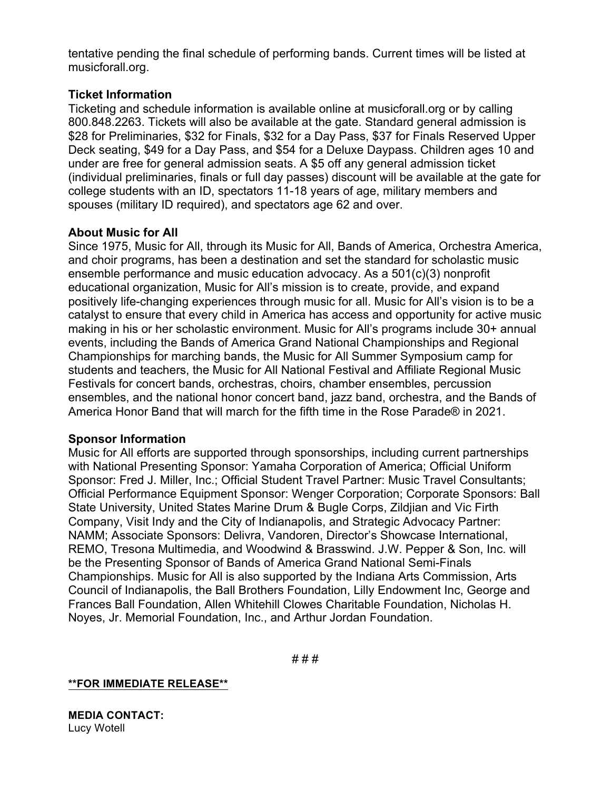tentative pending the final schedule of performing bands. Current times will be listed at musicforall.org.

## **Ticket Information**

Ticketing and schedule information is available online at musicforall.org or by calling 800.848.2263. Tickets will also be available at the gate. Standard general admission is \$28 for Preliminaries, \$32 for Finals, \$32 for a Day Pass, \$37 for Finals Reserved Upper Deck seating, \$49 for a Day Pass, and \$54 for a Deluxe Daypass. Children ages 10 and under are free for general admission seats. A \$5 off any general admission ticket (individual preliminaries, finals or full day passes) discount will be available at the gate for college students with an ID, spectators 11-18 years of age, military members and spouses (military ID required), and spectators age 62 and over.

## **About Music for All**

Since 1975, Music for All, through its Music for All, Bands of America, Orchestra America, and choir programs, has been a destination and set the standard for scholastic music ensemble performance and music education advocacy. As a 501(c)(3) nonprofit educational organization, Music for All's mission is to create, provide, and expand positively life-changing experiences through music for all. Music for All's vision is to be a catalyst to ensure that every child in America has access and opportunity for active music making in his or her scholastic environment. Music for All's programs include 30+ annual events, including the Bands of America Grand National Championships and Regional Championships for marching bands, the Music for All Summer Symposium camp for students and teachers, the Music for All National Festival and Affiliate Regional Music Festivals for concert bands, orchestras, choirs, chamber ensembles, percussion ensembles, and the national honor concert band, jazz band, orchestra, and the Bands of America Honor Band that will march for the fifth time in the Rose Parade® in 2021.

### **Sponsor Information**

Music for All efforts are supported through sponsorships, including current partnerships with National Presenting Sponsor: Yamaha Corporation of America; Official Uniform Sponsor: Fred J. Miller, Inc.; Official Student Travel Partner: Music Travel Consultants; Official Performance Equipment Sponsor: Wenger Corporation; Corporate Sponsors: Ball State University, United States Marine Drum & Bugle Corps, Zildjian and Vic Firth Company, Visit Indy and the City of Indianapolis, and Strategic Advocacy Partner: NAMM; Associate Sponsors: Delivra, Vandoren, Director's Showcase International, REMO, Tresona Multimedia, and Woodwind & Brasswind. J.W. Pepper & Son, Inc. will be the Presenting Sponsor of Bands of America Grand National Semi-Finals Championships. Music for All is also supported by the Indiana Arts Commission, Arts Council of Indianapolis, the Ball Brothers Foundation, Lilly Endowment Inc, George and Frances Ball Foundation, Allen Whitehill Clowes Charitable Foundation, Nicholas H. Noyes, Jr. Memorial Foundation, Inc., and Arthur Jordan Foundation.

# # #

### **\*\*FOR IMMEDIATE RELEASE\*\***

**MEDIA CONTACT:** Lucy Wotell